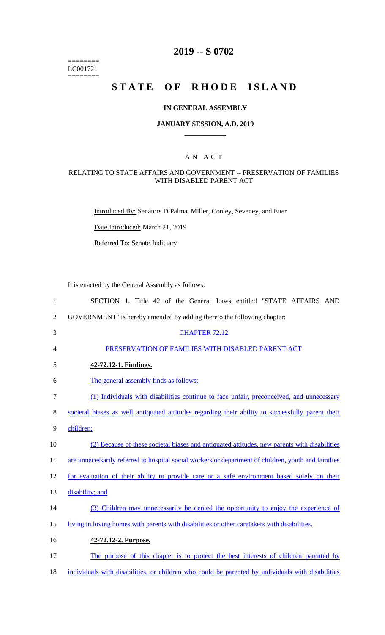======== LC001721  $=$ 

# **2019 -- S 0702**

# **STATE OF RHODE ISLAND**

### **IN GENERAL ASSEMBLY**

### **JANUARY SESSION, A.D. 2019 \_\_\_\_\_\_\_\_\_\_\_\_**

# A N A C T

# RELATING TO STATE AFFAIRS AND GOVERNMENT -- PRESERVATION OF FAMILIES WITH DISABLED PARENT ACT

Introduced By: Senators DiPalma, Miller, Conley, Seveney, and Euer

Date Introduced: March 21, 2019

Referred To: Senate Judiciary

It is enacted by the General Assembly as follows:

| $\mathbf{1}$   | SECTION 1. Title 42 of the General Laws entitled "STATE AFFAIRS AND                                 |
|----------------|-----------------------------------------------------------------------------------------------------|
| $\overline{2}$ | GOVERNMENT" is hereby amended by adding thereto the following chapter:                              |
| 3              | <b>CHAPTER 72.12</b>                                                                                |
| 4              | PRESERVATION OF FAMILIES WITH DISABLED PARENT ACT                                                   |
| 5              | 42-72.12-1. Findings.                                                                               |
| 6              | The general assembly finds as follows:                                                              |
| 7              | (1) Individuals with disabilities continue to face unfair, preconceived, and unnecessary            |
| 8              | societal biases as well antiquated attitudes regarding their ability to successfully parent their   |
| 9              | children;                                                                                           |
| 10             | (2) Because of these societal biases and antiquated attitudes, new parents with disabilities        |
| 11             | are unnecessarily referred to hospital social workers or department of children, youth and families |
| 12             | for evaluation of their ability to provide care or a safe environment based solely on their         |
| 13             | disability; and                                                                                     |
| 14             | (3) Children may unnecessarily be denied the opportunity to enjoy the experience of                 |
| 15             | living in loving homes with parents with disabilities or other caretakers with disabilities.        |
| 16             | 42-72.12-2. Purpose.                                                                                |
| 17             | The purpose of this chapter is to protect the best interests of children parented by                |
| 18             | individuals with disabilities, or children who could be parented by individuals with disabilities   |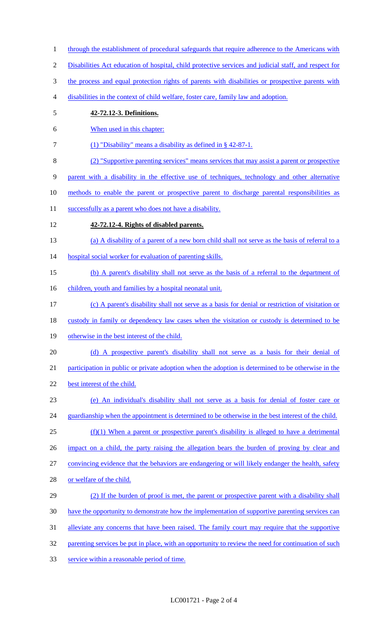- through the establishment of procedural safeguards that require adherence to the Americans with
- Disabilities Act education of hospital, child protective services and judicial staff, and respect for
- 3 the process and equal protection rights of parents with disabilities or prospective parents with
- disabilities in the context of child welfare, foster care, family law and adoption.
- **42-72.12-3. Definitions.**
- When used in this chapter:
- (1) "Disability" means a disability as defined in § 42-87-1.
- (2) "Supportive parenting services" means services that may assist a parent or prospective
- parent with a disability in the effective use of techniques, technology and other alternative
- methods to enable the parent or prospective parent to discharge parental responsibilities as
- 11 successfully as a parent who does not have a disability.
- **42-72.12-4. Rights of disabled parents.**
- (a) A disability of a parent of a new born child shall not serve as the basis of referral to a
- 14 hospital social worker for evaluation of parenting skills.
- (b) A parent's disability shall not serve as the basis of a referral to the department of
- 16 children, youth and families by a hospital neonatal unit.
- (c) A parent's disability shall not serve as a basis for denial or restriction of visitation or
- 18 custody in family or dependency law cases when the visitation or custody is determined to be
- 19 otherwise in the best interest of the child.
- (d) A prospective parent's disability shall not serve as a basis for their denial of
- participation in public or private adoption when the adoption is determined to be otherwise in the
- 22 best interest of the child.
- (e) An individual's disability shall not serve as a basis for denial of foster care or 24 guardianship when the appointment is determined to be otherwise in the best interest of the child.
- (f)(1) When a parent or prospective parent's disability is alleged to have a detrimental
- impact on a child, the party raising the allegation bears the burden of proving by clear and
- convincing evidence that the behaviors are endangering or will likely endanger the health, safety
- or welfare of the child.
- 29 (2) If the burden of proof is met, the parent or prospective parent with a disability shall have the opportunity to demonstrate how the implementation of supportive parenting services can 31 alleviate any concerns that have been raised. The family court may require that the supportive 32 parenting services be put in place, with an opportunity to review the need for continuation of such
- service within a reasonable period of time.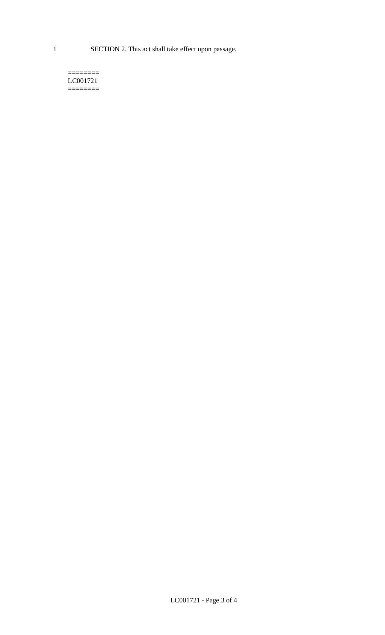1 SECTION 2. This act shall take effect upon passage.

#### $=$ LC001721  $=$